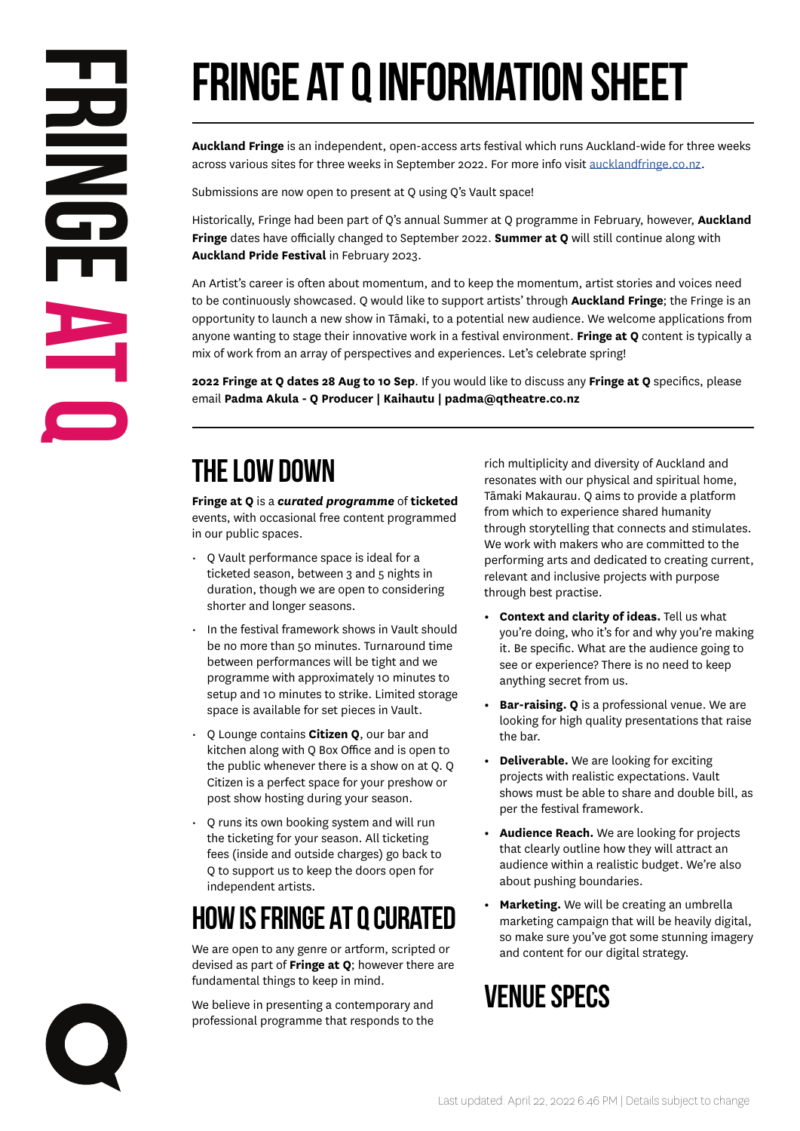# **Fringe at Q Information Sheet**

**Auckland Fringe** is an independent, open-access arts festival which runs Auckland-wide for three weeks across various sites for three weeks in September 2022. For more info visit aucklandfringe.co.nz.

Submissions are now open to present at Q using Q's Vault space!

Historically, Fringe had been part of Q's annual Summer at Q programme in February, however, **Auckland Fringe** dates have officially changed to September 2022. **Summer at Q** will still continue along with **Auckland Pride Festival** in February 2023.

An Artist's career is often about momentum, and to keep the momentum, artist stories and voices need to be continuously showcased. Q would like to support artists' through **Auckland Fringe**; the Fringe is an opportunity to launch a new show in Tāmaki, to a potential new audience. We welcome applications from anyone wanting to stage their innovative work in a festival environment. **Fringe at Q** content is typically a mix of work from an array of perspectives and experiences. Let's celebrate spring!

**2022 Fringe at Q dates 28 Aug to 10 Sep**. If you would like to discuss any **Fringe at Q** specifics, please email **Padma Akula - Q Producer | Kaihautu | padma@qtheatre.co.nz**

## **The Low Down**

**Fringe at Q** is a *curated programme* of **ticketed**  events, with occasional free content programmed in our public spaces.

- Q Vault performance space is ideal for a ticketed season, between 3 and 5 nights in duration, though we are open to considering shorter and longer seasons.
- In the festival framework shows in Vault should be no more than 50 minutes. Turnaround time between performances will be tight and we programme with approximately 10 minutes to setup and 10 minutes to strike. Limited storage space is available for set pieces in Vault.
- Q Lounge contains **Citizen Q**, our bar and kitchen along with Q Box Office and is open to the public whenever there is a show on at Q. Q Citizen is a perfect space for your preshow or post show hosting during your season.
- Q runs its own booking system and will run the ticketing for your season. All ticketing fees (inside and outside charges) go back to Q to support us to keep the doors open for independent artists.

## **How is Fringe AT Q Curated**

We are open to any genre or artform, scripted or devised as part of **Fringe at Q**; however there are fundamental things to keep in mind.

We believe in presenting a contemporary and professional programme that responds to the rich multiplicity and diversity of Auckland and resonates with our physical and spiritual home, Tāmaki Makaurau. Q aims to provide a platform from which to experience shared humanity through storytelling that connects and stimulates. We work with makers who are committed to the performing arts and dedicated to creating current, relevant and inclusive projects with purpose through best practise.

- **• Context and clarity of ideas.** Tell us what you're doing, who it's for and why you're making it. Be specific. What are the audience going to see or experience? There is no need to keep anything secret from us.
- **• Bar-raising. Q** is a professional venue. We are looking for high quality presentations that raise the bar.
- **• Deliverable.** We are looking for exciting projects with realistic expectations. Vault shows must be able to share and double bill, as per the festival framework.
- **• Audience Reach.** We are looking for projects that clearly outline how they will attract an audience within a realistic budget. We're also about pushing boundaries.
- **• Marketing.** We will be creating an umbrella marketing campaign that will be heavily digital, so make sure you've got some stunning imagery and content for our digital strategy.

## **Venue Specs**

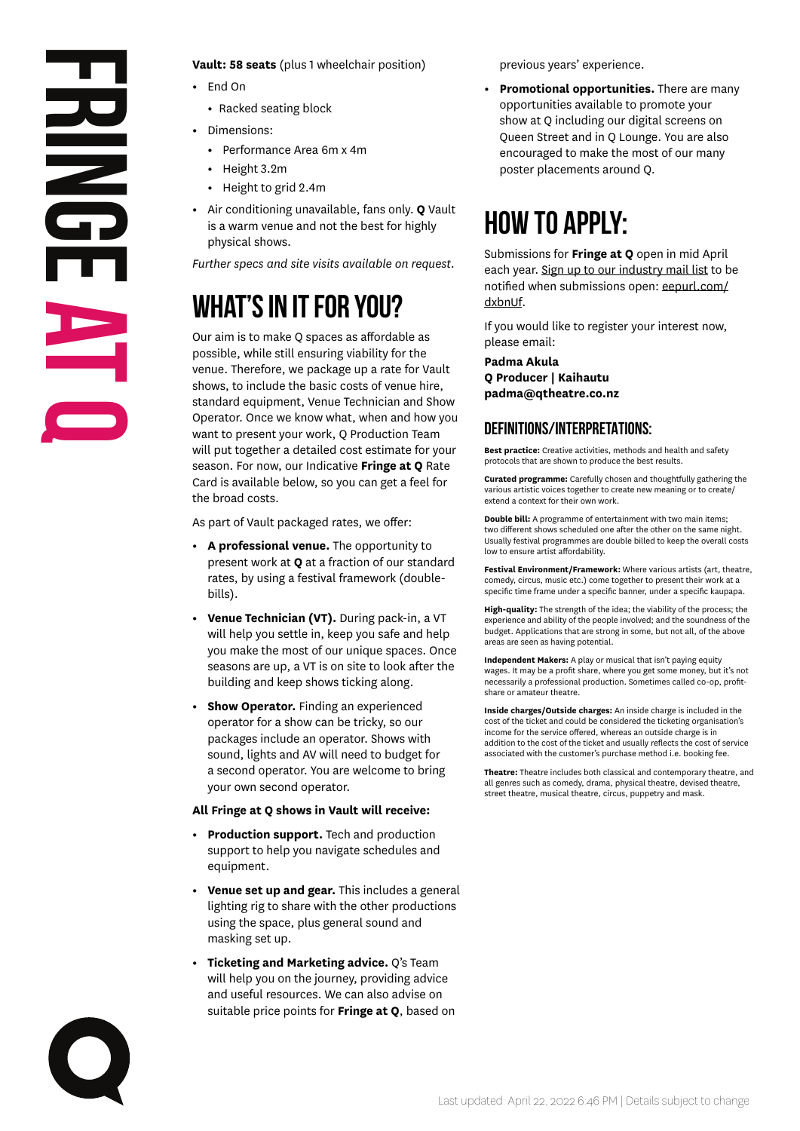# **Fringe at Q**

**Vault: 58 seats** (plus 1 wheelchair position)

- **•** End On
	- **•** Racked seating block
- **•** Dimensions:
	- **•** Performance Area 6m x 4m
	- **•** Height 3.2m
	- **•** Height to grid 2.4m
- **•** Air conditioning unavailable, fans only. **Q** Vault is a warm venue and not the best for highly physical shows.

*Further specs and site visits available on request.* 

## **What's in it for you?**

Our aim is to make Q spaces as affordable as possible, while still ensuring viability for the venue. Therefore, we package up a rate for Vault shows, to include the basic costs of venue hire, standard equipment, Venue Technician and Show Operator. Once we know what, when and how you want to present your work, Q Production Team will put together a detailed cost estimate for your season. For now, our Indicative **Fringe at Q** Rate Card is available below, so you can get a feel for the broad costs.

As part of Vault packaged rates, we offer:

- **• A professional venue.** The opportunity to present work at **Q** at a fraction of our standard rates, by using a festival framework (doublebills).
- **• Venue Technician (VT).** During pack-in, a VT will help you settle in, keep you safe and help you make the most of our unique spaces. Once seasons are up, a VT is on site to look after the building and keep shows ticking along.
- **• Show Operator.** Finding an experienced operator for a show can be tricky, so our packages include an operator. Shows with sound, lights and AV will need to budget for a second operator. You are welcome to bring your own second operator.

#### **All Fringe at Q shows in Vault will receive:**

- **• Production support.** Tech and production support to help you navigate schedules and equipment.
- **• Venue set up and gear.** This includes a general lighting rig to share with the other productions using the space, plus general sound and masking set up.
- **• Ticketing and Marketing advice.** Q's Team will help you on the journey, providing advice and useful resources. We can also advise on suitable price points for **Fringe at Q**, based on

previous years' experience.

**• Promotional opportunities.** There are many opportunities available to promote your show at Q including our digital screens on Queen Street and in Q Lounge. You are also encouraged to make the most of our many poster placements around Q.

## **how to apply:**

Submissions for **Fringe at Q** open in mid April each year. Sign up to our industry mail list to be notified when submissions open: eepurl.com/ dxbnUf.

If you would like to register your interest now, please email:

**Padma Akula Q Producer | Kaihautu padma@qtheatre.co.nz**

#### **DEFINITIONS/INTERPRETATIONs:**

**Best practice:** Creative activities, methods and health and safety protocols that are shown to produce the best results.

**Curated programme:** Carefully chosen and thoughtfully gathering the various artistic voices together to create new meaning or to create/ extend a context for their own work.

**Double bill:** A programme of entertainment with two main items; two different shows scheduled one after the other on the same night. Usually festival programmes are double billed to keep the overall costs low to ensure artist affordability.

**Festival Environment/Framework:** Where various artists (art, theatre, comedy, circus, music etc.) come together to present their work at a specific time frame under a specific banner, under a specific kaupapa.

**High-quality:** The strength of the idea; the viability of the process; the experience and ability of the people involved; and the soundness of the budget. Applications that are strong in some, but not all, of the above areas are seen as having potential.

**Independent Makers:** A play or musical that isn't paying equity wages. It may be a profit share, where you get some money, but it's not necessarily a professional production. Sometimes called co-op, profitshare or amateur theatre.

**Inside charges/Outside charges:** An inside charge is included in the cost of the ticket and could be considered the ticketing organisation's income for the service offered, whereas an outside charge is in addition to the cost of the ticket and usually reflects the cost of service associated with the customer's purchase method i.e. booking fee.

**Theatre:** Theatre includes both classical and contemporary theatre, and all genres such as comedy, drama, physical theatre, devised theatre, street theatre, musical theatre, circus, puppetry and mask.